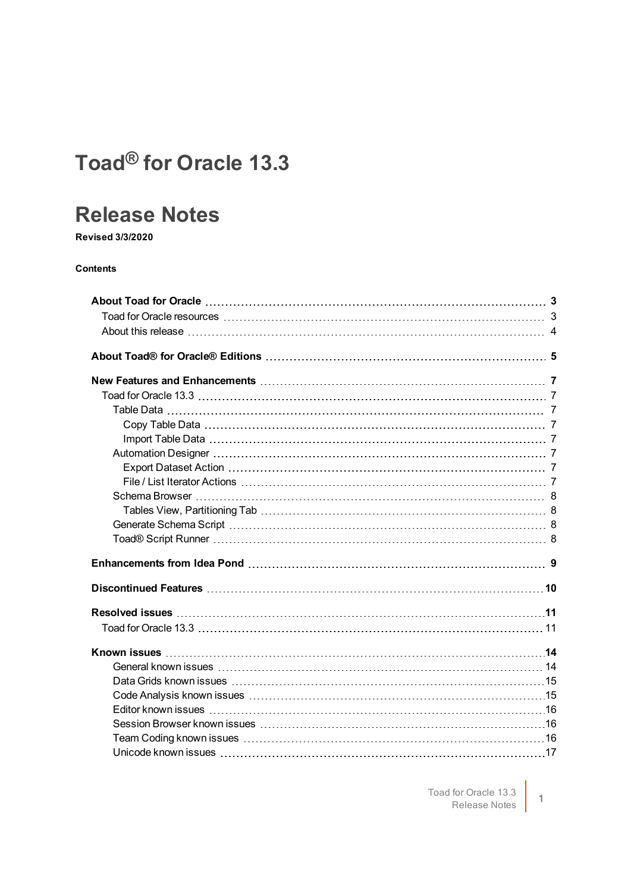## **Toad® for Oracle 13.3**

### **Release Notes**

**Revised 3/3/2020**

#### **Contents**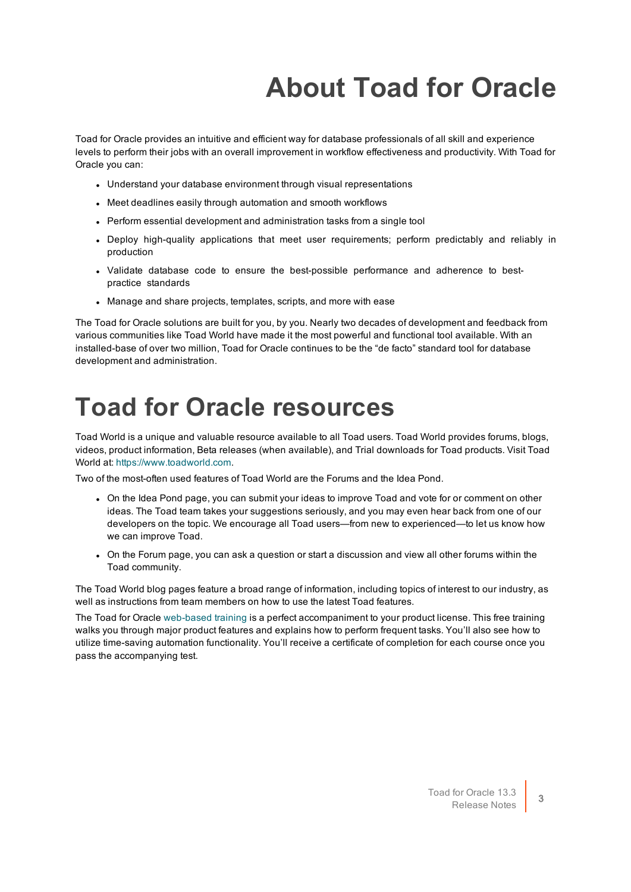# **About Toad for Oracle**

<span id="page-2-0"></span>Toad for Oracle provides an intuitive and efficient way for database professionals of all skill and experience levels to perform their jobs with an overall improvement in workflow effectiveness and productivity. With Toad for Oracle you can:

- Understand your database environment through visual representations
- Meet deadlines easily through automation and smooth workflows
- Perform essential development and administration tasks from a single tool
- Deploy high-quality applications that meet user requirements; perform predictably and reliably in production
- Validate database code to ensure the best-possible performance and adherence to bestpractice standards
- Manage and share projects, templates, scripts, and more with ease

The Toad for Oracle solutions are built for you, by you. Nearly two decades of development and feedback from various communities like Toad World have made it the most powerful and functional tool available. With an installed-base of over two million, Toad for Oracle continues to be the "de facto" standard tool for database development and administration.

## <span id="page-2-1"></span>**Toad for Oracle resources**

Toad World is a unique and valuable resource available to all Toad users. Toad World provides forums, blogs, videos, product information, Beta releases (when available), and Trial downloads for Toad products. Visit Toad World at: [https://www.toadworld.com](https://www.toadworld.com/).

Two of the most-often used features of Toad World are the Forums and the Idea Pond.

- On the Idea Pond page, you can submit your ideas to improve Toad and vote for or comment on other ideas. The Toad team takes your suggestions seriously, and you may even hear back from one of our developers on the topic. We encourage all Toad users—from new to experienced—to let us know how we can improve Toad.
- On the Forum page, you can ask a question or start a discussion and view all other forums within the Toad community.

The Toad World blog pages feature a broad range of information, including topics of interest to our industry, as well as instructions from team members on how to use the latest Toad features.

The Toad for Oracle [web-based](https://support.quest.com/training-product-select) training is a perfect accompaniment to your product license. This free training walks you through major product features and explains how to perform frequent tasks. You'll also see how to utilize time-saving automation functionality. You'll receive a certificate of completion for each course once you pass the accompanying test.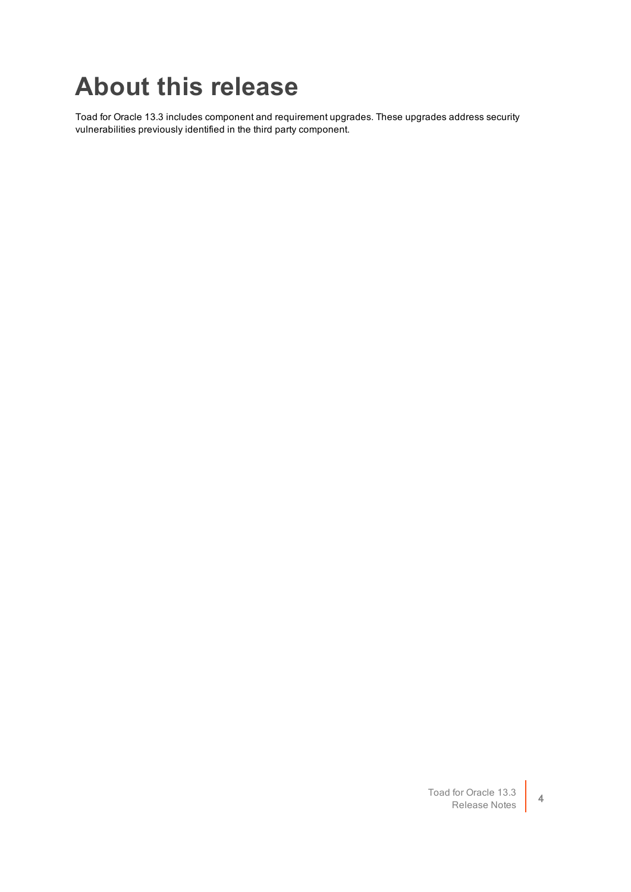## <span id="page-3-0"></span>**About this release**

Toad for Oracle 13.3 includes component and requirement upgrades. These upgrades address security vulnerabilities previously identified in the third party component.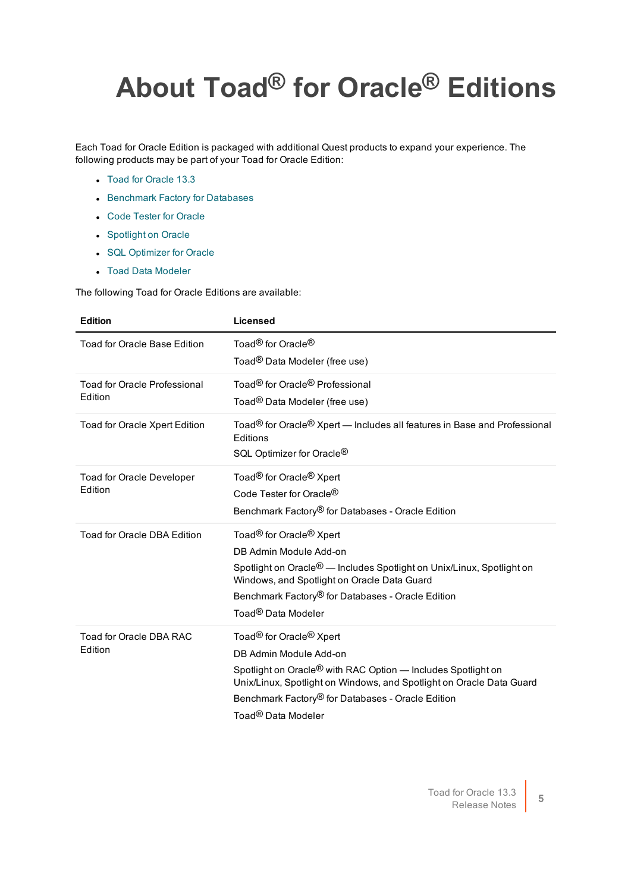# <span id="page-4-0"></span>**About Toad® for Oracle® Editions**

Each Toad for Oracle Edition is packaged with additional Quest products to expand your experience. The following products may be part of your Toad for Oracle Edition:

- Toad for [Oracle](https://support.quest.com/technical-documents/toad-for-oracle/13.2/release-notes) 13.3
- **.** [Benchmark](https://support.quest.com/benchmark-factory-for-database/technical-documents) Factory for Databases
- **Code Tester for [Oracle](https://support.quest.com/code-tester-for-oracle/technical-documents)**
- **.** [Spotlight](https://support.quest.com/spotlight-on-oracle/technical-documents) on Oracle
- **.** SQL [Optimizer](https://support.quest.com/sql-optimizer-for-oracle/technical-documents) for Oracle
- Toad Data [Modeler](https://support.quest.com/toad-data-modeler/technical-documents)

The following Toad for Oracle Editions are available:

| <b>Edition</b>                      | Licensed                                                                                                                                              |
|-------------------------------------|-------------------------------------------------------------------------------------------------------------------------------------------------------|
| <b>Toad for Oracle Base Edition</b> | Toad <sup>®</sup> for Oracle <sup>®</sup><br>Toad <sup>®</sup> Data Modeler (free use)                                                                |
|                                     |                                                                                                                                                       |
| <b>Toad for Oracle Professional</b> | Toad <sup>®</sup> for Oracle <sup>®</sup> Professional                                                                                                |
| Edition                             | Toad <sup>®</sup> Data Modeler (free use)                                                                                                             |
| Toad for Oracle Xpert Edition       | Toad <sup>®</sup> for Oracle <sup>®</sup> Xpert — Includes all features in Base and Professional<br>Editions<br>SQL Optimizer for Oracle <sup>®</sup> |
| <b>Toad for Oracle Developer</b>    | Toad <sup>®</sup> for Oracle <sup>®</sup> Xpert                                                                                                       |
| Edition                             | Code Tester for Oracle <sup>®</sup>                                                                                                                   |
|                                     | Benchmark Factory® for Databases - Oracle Edition                                                                                                     |
| <b>Toad for Oracle DBA Edition</b>  | Toad <sup>®</sup> for Oracle <sup>®</sup> Xpert                                                                                                       |
|                                     | DB Admin Module Add-on                                                                                                                                |
|                                     | Spotlight on Oracle <sup>®</sup> — Includes Spotlight on Unix/Linux, Spotlight on<br>Windows, and Spotlight on Oracle Data Guard                      |
|                                     | Benchmark Factory® for Databases - Oracle Edition                                                                                                     |
|                                     | Toad <sup>®</sup> Data Modeler                                                                                                                        |
| Toad for Oracle DBA RAC             | Toad <sup>®</sup> for Oracle <sup>®</sup> Xpert                                                                                                       |
| Edition                             | DB Admin Module Add-on                                                                                                                                |
|                                     | Spotlight on Oracle <sup>®</sup> with RAC Option — Includes Spotlight on<br>Unix/Linux, Spotlight on Windows, and Spotlight on Oracle Data Guard      |
|                                     | Benchmark Factory® for Databases - Oracle Edition                                                                                                     |
|                                     | Toad <sup>®</sup> Data Modeler                                                                                                                        |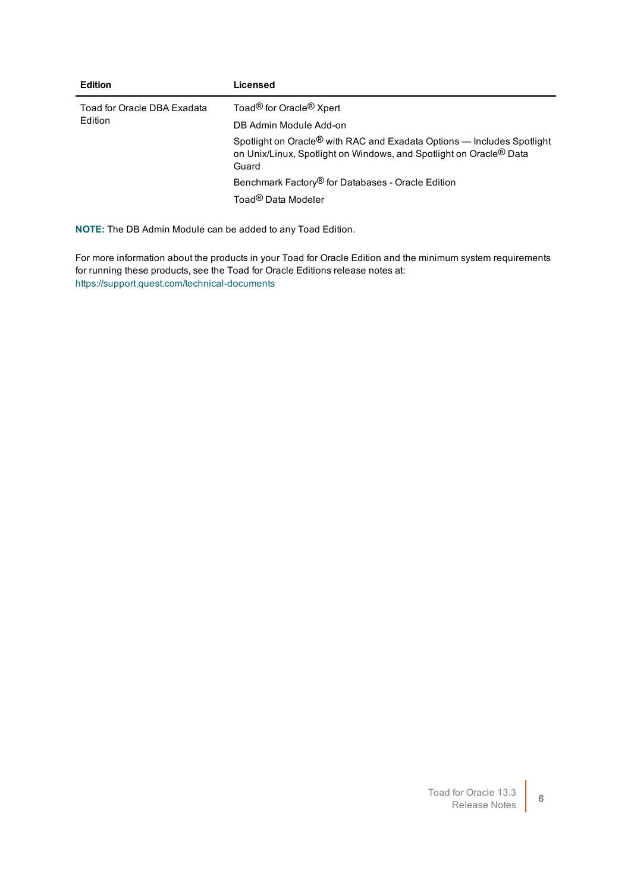| <b>Edition</b>                         | Licensed                                                                                                                                                                      |
|----------------------------------------|-------------------------------------------------------------------------------------------------------------------------------------------------------------------------------|
| Toad for Oracle DBA Exadata<br>Edition | Toad <sup>®</sup> for Oracle <sup>®</sup> Xpert                                                                                                                               |
|                                        | DB Admin Module Add-on                                                                                                                                                        |
|                                        | Spotlight on Oracle <sup>®</sup> with RAC and Exadata Options — Includes Spotlight<br>on Unix/Linux, Spotlight on Windows, and Spotlight on Oracle <sup>®</sup> Data<br>Guard |
|                                        | Benchmark Factory <sup>®</sup> for Databases - Oracle Edition                                                                                                                 |
|                                        | Toad <sup>®</sup> Data Modeler                                                                                                                                                |
|                                        |                                                                                                                                                                               |

**NOTE:** The DB Admin Module can be added to any Toad Edition.

For more information about the products in your Toad for Oracle Edition and the minimum system requirements for running these products, see the Toad for Oracle Editions release notes at: <https://support.quest.com/technical-documents>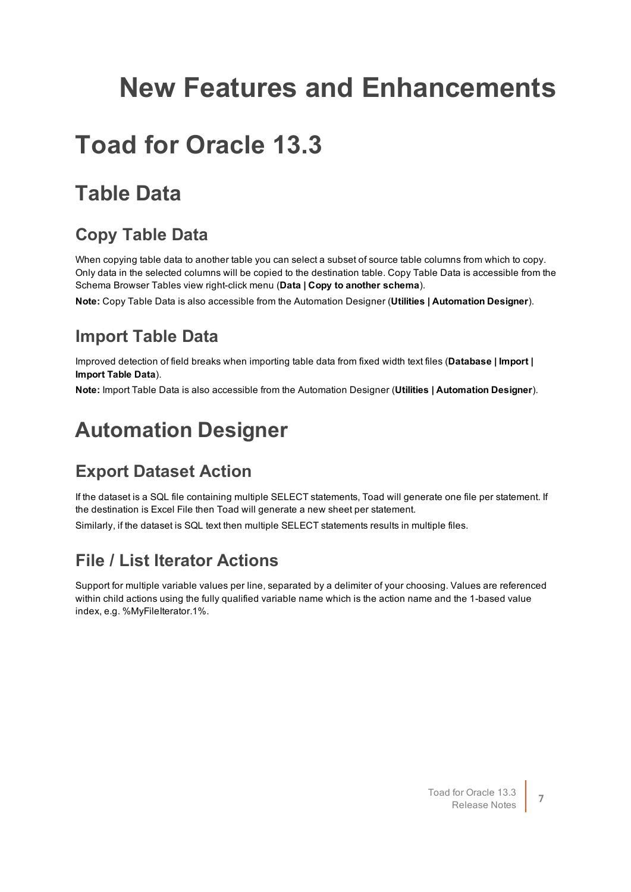## <span id="page-6-0"></span>**New Features and Enhancements**

## <span id="page-6-1"></span>**Toad for Oracle 13.3**

## <span id="page-6-2"></span>**Table Data**

#### <span id="page-6-3"></span>**Copy Table Data**

When copying table data to another table you can select a subset of source table columns from which to copy. Only data in the selected columns will be copied to the destination table. Copy Table Data is accessible from the Schema Browser Tables view right-click menu (**Data | Copy to another schema**).

<span id="page-6-4"></span>**Note:** Copy Table Data is also accessible from the Automation Designer (**Utilities | Automation Designer**).

#### **Import Table Data**

Improved detection of field breaks when importing table data from fixed width text files (**Database | Import | Import Table Data**).

<span id="page-6-5"></span>**Note:** Import Table Data is also accessible from the Automation Designer (**Utilities | Automation Designer**).

## **Automation Designer**

#### <span id="page-6-6"></span>**Export Dataset Action**

If the dataset is a SQL file containing multiple SELECT statements, Toad will generate one file per statement. If the destination is Excel File then Toad will generate a new sheet per statement.

<span id="page-6-7"></span>Similarly, if the dataset is SQL text then multiple SELECT statements results in multiple files.

#### **File / List Iterator Actions**

Support for multiple variable values per line, separated by a delimiter of your choosing. Values are referenced within child actions using the fully qualified variable name which is the action name and the 1-based value index, e.g. %MyFileIterator.1%.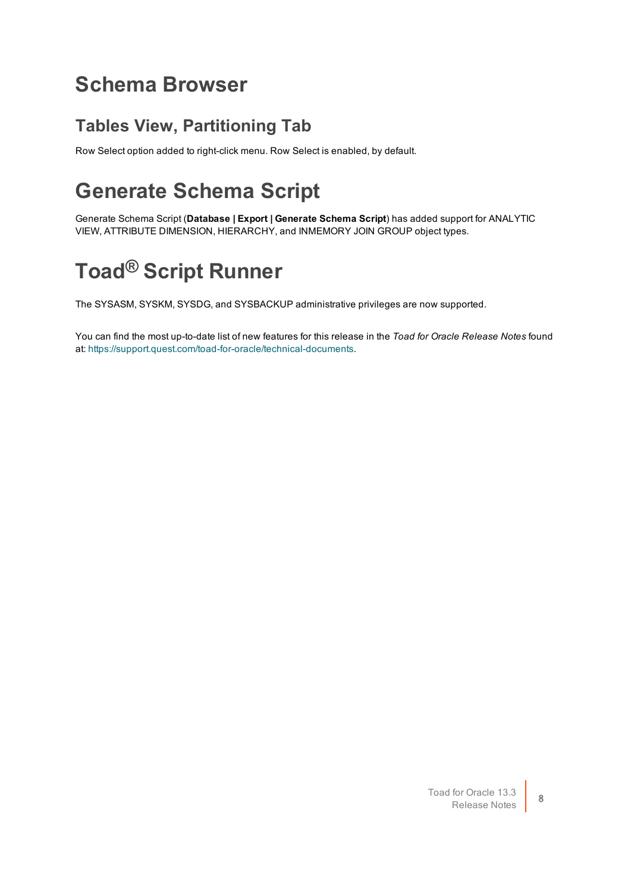#### <span id="page-7-0"></span>**Schema Browser**

#### <span id="page-7-1"></span>**Tables View, Partitioning Tab**

<span id="page-7-2"></span>Row Select option added to right-click menu. Row Select is enabled, by default.

## **Generate Schema Script**

Generate Schema Script (**Database | Export | Generate Schema Script**) has added support for ANALYTIC VIEW, ATTRIBUTE DIMENSION, HIERARCHY, and INMEMORY JOIN GROUP object types.

## <span id="page-7-3"></span>**Toad® Script Runner**

The SYSASM, SYSKM, SYSDG, and SYSBACKUP administrative privileges are now supported.

You can find the most up-to-date list of new features for this release in the *Toad for Oracle Release Notes* found at: [https://support.quest.com/toad-for-oracle/technical-documents.](https://support.quest.com/toad-for-oracle/technical-documents)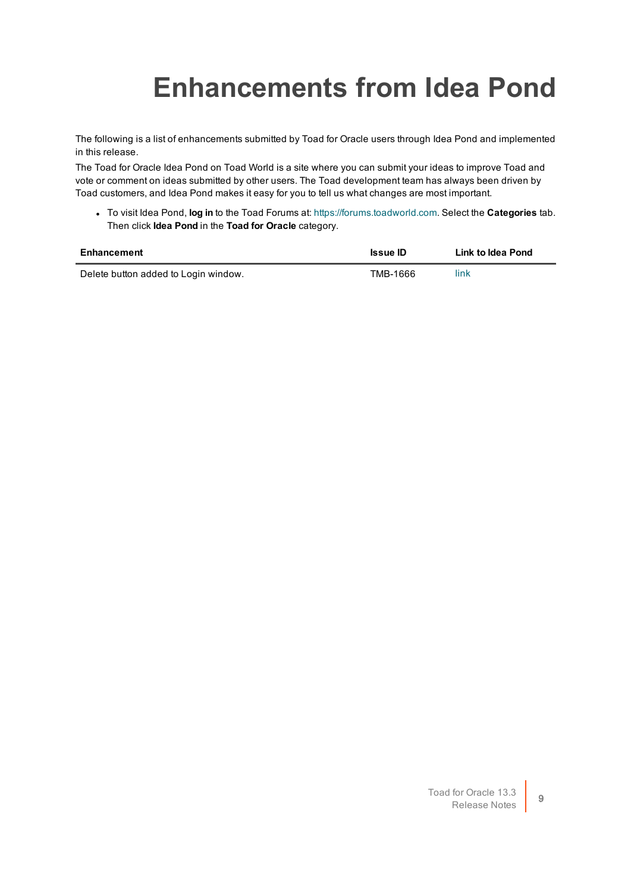# <span id="page-8-0"></span>**Enhancements from Idea Pond**

The following is a list of enhancements submitted by Toad for Oracle users through Idea Pond and implemented in this release.

The Toad for Oracle Idea Pond on Toad World is a site where you can submit your ideas to improve Toad and vote or comment on ideas submitted by other users. The Toad development team has always been driven by Toad customers, and Idea Pond makes it easy for you to tell us what changes are most important.

<sup>l</sup> To visit Idea Pond, **log in** to the Toad Forums at: [https://forums.toadworld.com](https://forums.toadworld.com/). Select the **Categories** tab. Then click **Idea Pond** in the **Toad for Oracle** category.

| Enhancement                          | <b>Issue ID</b> | Link to Idea Pond |
|--------------------------------------|-----------------|-------------------|
| Delete button added to Login window. | TMB-1666        | link              |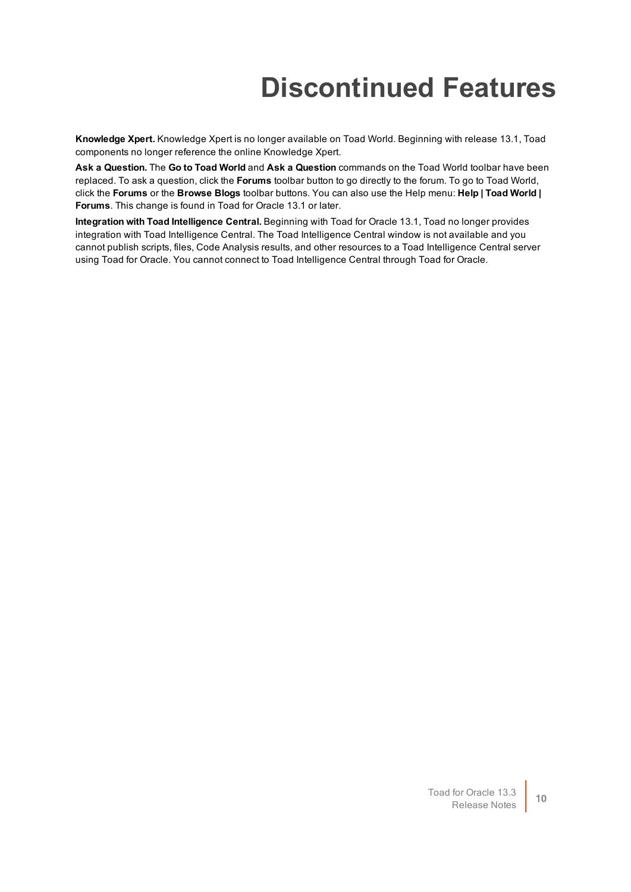## **Discontinued Features**

<span id="page-9-0"></span>**Knowledge Xpert.** Knowledge Xpert is no longer available on Toad World. Beginning with release 13.1, Toad components no longer reference the online Knowledge Xpert.

**Ask a Question.** The **Go to Toad World** and **Ask a Question** commands on the Toad World toolbar have been replaced. To ask a question, click the **Forums** toolbar button to go directly to the forum. To go to Toad World, click the **Forums** or the **Browse Blogs** toolbar buttons. You can also use the Help menu: **Help | Toad World | Forums**. This change is found in Toad for Oracle 13.1 or later.

**Integration with Toad Intelligence Central.** Beginning with Toad for Oracle 13.1, Toad no longer provides integration with Toad Intelligence Central. The Toad Intelligence Central window is not available and you cannot publish scripts, files, Code Analysis results, and other resources to a Toad Intelligence Central server using Toad for Oracle. You cannot connect to Toad Intelligence Central through Toad for Oracle.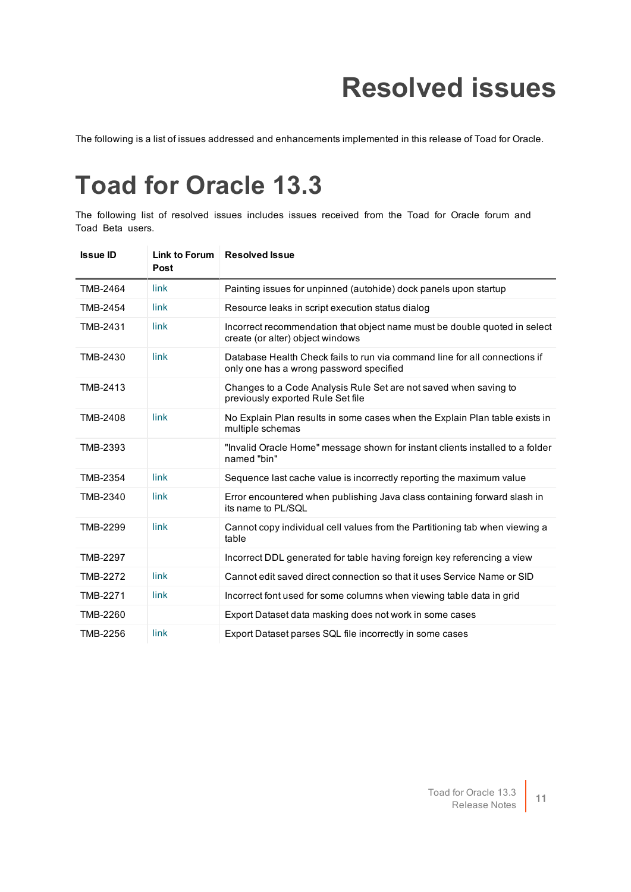## **Resolved issues**

<span id="page-10-1"></span><span id="page-10-0"></span>The following is a list of issues addressed and enhancements implemented in this release of Toad for Oracle.

## **Toad for Oracle 13.3**

The following list of resolved issues includes issues received from the Toad for Oracle forum and Toad Beta users.

| <b>Issue ID</b> | Link to Forum<br>Post | <b>Resolved Issue</b>                                                                                                 |
|-----------------|-----------------------|-----------------------------------------------------------------------------------------------------------------------|
| TMB-2464        | link                  | Painting issues for unpinned (autohide) dock panels upon startup                                                      |
| <b>TMB-2454</b> | link                  | Resource leaks in script execution status dialog                                                                      |
| TMB-2431        | link                  | Incorrect recommendation that object name must be double quoted in select<br>create (or alter) object windows         |
| TMB-2430        | link                  | Database Health Check fails to run via command line for all connections if<br>only one has a wrong password specified |
| TMB-2413        |                       | Changes to a Code Analysis Rule Set are not saved when saving to<br>previously exported Rule Set file                 |
| TMB-2408        | link                  | No Explain Plan results in some cases when the Explain Plan table exists in<br>multiple schemas                       |
| TMB-2393        |                       | "Invalid Oracle Home" message shown for instant clients installed to a folder<br>named "bin"                          |
| TMB-2354        | link                  | Sequence last cache value is incorrectly reporting the maximum value                                                  |
| TMB-2340        | link                  | Error encountered when publishing Java class containing forward slash in<br>its name to PL/SQL                        |
| TMB-2299        | link                  | Cannot copy individual cell values from the Partitioning tab when viewing a<br>table                                  |
| <b>TMB-2297</b> |                       | Incorrect DDL generated for table having foreign key referencing a view                                               |
| <b>TMB-2272</b> | link                  | Cannot edit saved direct connection so that it uses Service Name or SID                                               |
| TMB-2271        | link                  | Incorrect font used for some columns when viewing table data in grid                                                  |
| TMB-2260        |                       | Export Dataset data masking does not work in some cases                                                               |
| TMB-2256        | link                  | Export Dataset parses SQL file incorrectly in some cases                                                              |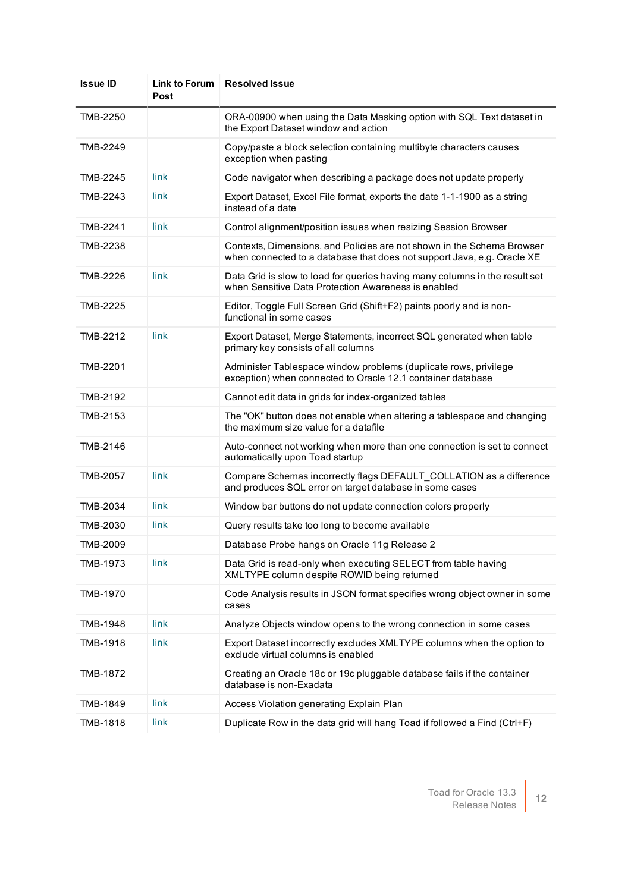| <b>Issue ID</b> | Link to Forum<br>Post | <b>Resolved Issue</b>                                                                                                                             |
|-----------------|-----------------------|---------------------------------------------------------------------------------------------------------------------------------------------------|
| <b>TMB-2250</b> |                       | ORA-00900 when using the Data Masking option with SQL Text dataset in<br>the Export Dataset window and action                                     |
| <b>TMB-2249</b> |                       | Copy/paste a block selection containing multibyte characters causes<br>exception when pasting                                                     |
| TMB-2245        | link                  | Code navigator when describing a package does not update properly                                                                                 |
| TMB-2243        | link                  | Export Dataset, Excel File format, exports the date 1-1-1900 as a string<br>instead of a date                                                     |
| TMB-2241        | link                  | Control alignment/position issues when resizing Session Browser                                                                                   |
| TMB-2238        |                       | Contexts, Dimensions, and Policies are not shown in the Schema Browser<br>when connected to a database that does not support Java, e.g. Oracle XE |
| TMB-2226        | link                  | Data Grid is slow to load for queries having many columns in the result set<br>when Sensitive Data Protection Awareness is enabled                |
| TMB-2225        |                       | Editor, Toggle Full Screen Grid (Shift+F2) paints poorly and is non-<br>functional in some cases                                                  |
| TMB-2212        | link                  | Export Dataset, Merge Statements, incorrect SQL generated when table<br>primary key consists of all columns                                       |
| TMB-2201        |                       | Administer Tablespace window problems (duplicate rows, privilege<br>exception) when connected to Oracle 12.1 container database                   |
| TMB-2192        |                       | Cannot edit data in grids for index-organized tables                                                                                              |
| TMB-2153        |                       | The "OK" button does not enable when altering a tablespace and changing<br>the maximum size value for a datafile                                  |
| TMB-2146        |                       | Auto-connect not working when more than one connection is set to connect<br>automatically upon Toad startup                                       |
| <b>TMB-2057</b> | link                  | Compare Schemas incorrectly flags DEFAULT_COLLATION as a difference<br>and produces SQL error on target database in some cases                    |
| TMB-2034        | link                  | Window bar buttons do not update connection colors properly                                                                                       |
| TMB-2030        | link                  | Query results take too long to become available                                                                                                   |
| TMB-2009        |                       | Database Probe hangs on Oracle 11g Release 2                                                                                                      |
| TMB-1973        | link                  | Data Grid is read-only when executing SELECT from table having<br>XMLTYPE column despite ROWID being returned                                     |
| TMB-1970        |                       | Code Analysis results in JSON format specifies wrong object owner in some<br>cases                                                                |
| TMB-1948        | <b>link</b>           | Analyze Objects window opens to the wrong connection in some cases                                                                                |
| TMB-1918        | link                  | Export Dataset incorrectly excludes XMLTYPE columns when the option to<br>exclude virtual columns is enabled                                      |
| TMB-1872        |                       | Creating an Oracle 18c or 19c pluggable database fails if the container<br>database is non-Exadata                                                |
| TMB-1849        | link                  | Access Violation generating Explain Plan                                                                                                          |
| TMB-1818        | link                  | Duplicate Row in the data grid will hang Toad if followed a Find (Ctrl+F)                                                                         |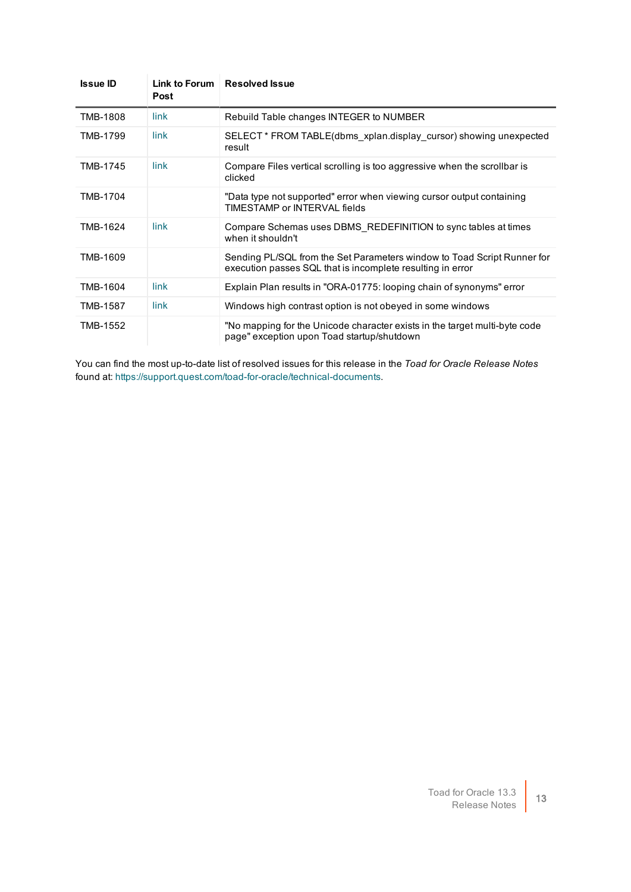| <b>Issue ID</b> | Link to Forum<br>Post | <b>Resolved Issue</b>                                                                                                                 |
|-----------------|-----------------------|---------------------------------------------------------------------------------------------------------------------------------------|
| <b>TMB-1808</b> | link                  | Rebuild Table changes INTEGER to NUMBER                                                                                               |
| TMB-1799        | link                  | SELECT * FROM TABLE(dbms xplan.display cursor) showing unexpected<br>result                                                           |
| TMB-1745        | link                  | Compare Files vertical scrolling is too aggressive when the scrollbar is<br>clicked                                                   |
| TMB-1704        |                       | "Data type not supported" error when viewing cursor output containing<br>TIMESTAMP or INTERVAL fields                                 |
| TMB-1624        | <b>link</b>           | Compare Schemas uses DBMS REDEFINITION to sync tables at times<br>when it shouldn't                                                   |
| TMB-1609        |                       | Sending PL/SQL from the Set Parameters window to Toad Script Runner for<br>execution passes SQL that is incomplete resulting in error |
| TMB-1604        | link                  | Explain Plan results in "ORA-01775: looping chain of synonyms" error                                                                  |
| TMB-1587        | link                  | Windows high contrast option is not obeyed in some windows                                                                            |
| TMB-1552        |                       | "No mapping for the Unicode character exists in the target multi-byte code<br>page" exception upon Toad startup/shutdown              |

You can find the most up-to-date list of resolved issues for this release in the *Toad for Oracle Release Notes* found at: <https://support.quest.com/toad-for-oracle/technical-documents>.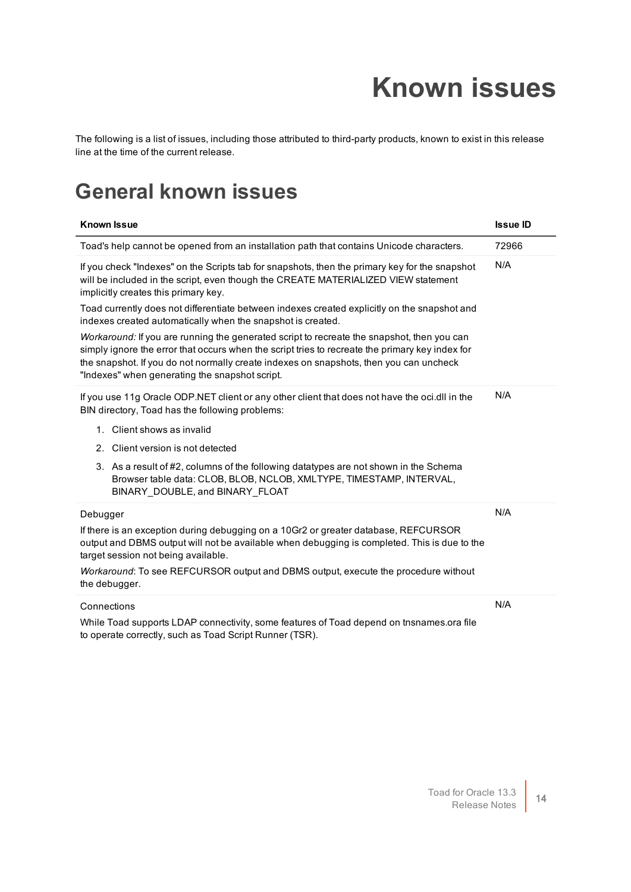## **Known issues**

<span id="page-13-0"></span>The following is a list of issues, including those attributed to third-party products, known to exist in this release line at the time of the current release.

#### <span id="page-13-1"></span>**General known issues**

| <b>Known Issue</b>                                                                                                                                                                                                                                                                                                                        | <b>Issue ID</b> |
|-------------------------------------------------------------------------------------------------------------------------------------------------------------------------------------------------------------------------------------------------------------------------------------------------------------------------------------------|-----------------|
| Toad's help cannot be opened from an installation path that contains Unicode characters.                                                                                                                                                                                                                                                  | 72966           |
| If you check "Indexes" on the Scripts tab for snapshots, then the primary key for the snapshot<br>will be included in the script, even though the CREATE MATERIALIZED VIEW statement<br>implicitly creates this primary key.                                                                                                              | N/A             |
| Toad currently does not differentiate between indexes created explicitly on the snapshot and<br>indexes created automatically when the snapshot is created.                                                                                                                                                                               |                 |
| Workaround: If you are running the generated script to recreate the snapshot, then you can<br>simply ignore the error that occurs when the script tries to recreate the primary key index for<br>the snapshot. If you do not normally create indexes on snapshots, then you can uncheck<br>"Indexes" when generating the snapshot script. |                 |
| If you use 11g Oracle ODP.NET client or any other client that does not have the oci.dll in the<br>BIN directory, Toad has the following problems:                                                                                                                                                                                         | N/A             |
| 1. Client shows as invalid                                                                                                                                                                                                                                                                                                                |                 |
| 2. Client version is not detected                                                                                                                                                                                                                                                                                                         |                 |
| 3. As a result of #2, columns of the following datatypes are not shown in the Schema<br>Browser table data: CLOB, BLOB, NCLOB, XMLTYPE, TIMESTAMP, INTERVAL,<br>BINARY_DOUBLE, and BINARY_FLOAT                                                                                                                                           |                 |
| Debugger                                                                                                                                                                                                                                                                                                                                  | N/A             |
| If there is an exception during debugging on a 10Gr2 or greater database, REFCURSOR<br>output and DBMS output will not be available when debugging is completed. This is due to the<br>target session not being available.                                                                                                                |                 |
| Workaround: To see REFCURSOR output and DBMS output, execute the procedure without<br>the debugger.                                                                                                                                                                                                                                       |                 |
| Connections                                                                                                                                                                                                                                                                                                                               | N/A             |
| While Toad supports LDAP connectivity, some features of Toad depend on tnsnames.ora file<br>to operate correctly, such as Toad Script Runner (TSR).                                                                                                                                                                                       |                 |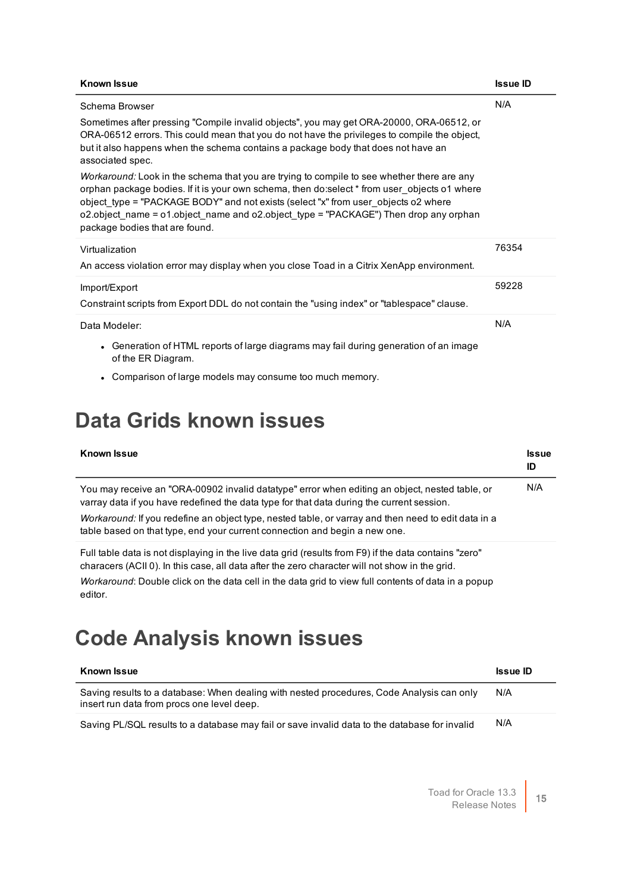| <b>Known Issue</b>                                                                                                                                                                                                                                                                                                                                                                                                   | <b>Issue ID</b> |
|----------------------------------------------------------------------------------------------------------------------------------------------------------------------------------------------------------------------------------------------------------------------------------------------------------------------------------------------------------------------------------------------------------------------|-----------------|
| Schema Browser                                                                                                                                                                                                                                                                                                                                                                                                       | N/A             |
| Sometimes after pressing "Compile invalid objects", you may get ORA-20000, ORA-06512, or<br>ORA-06512 errors. This could mean that you do not have the privileges to compile the object,<br>but it also happens when the schema contains a package body that does not have an<br>associated spec.                                                                                                                    |                 |
| <i>Workaround:</i> Look in the schema that you are trying to compile to see whether there are any<br>orphan package bodies. If it is your own schema, then do:select * from user objects o1 where<br>object type = "PACKAGE BODY" and not exists (select "x" from user objects o2 where<br>o2.object name = $o1.$ object name and o2.object type = "PACKAGE") Then drop any orphan<br>package bodies that are found. |                 |
| Virtualization                                                                                                                                                                                                                                                                                                                                                                                                       | 76354           |
| An access violation error may display when you close Toad in a Citrix XenApp environment.                                                                                                                                                                                                                                                                                                                            |                 |
| Import/Export                                                                                                                                                                                                                                                                                                                                                                                                        | 59228           |
| Constraint scripts from Export DDL do not contain the "using index" or "tablespace" clause.                                                                                                                                                                                                                                                                                                                          |                 |
| Data Modeler:                                                                                                                                                                                                                                                                                                                                                                                                        | N/A             |
| • Generation of HTML reports of large diagrams may fail during generation of an image<br>of the ER Diagram.                                                                                                                                                                                                                                                                                                          |                 |

• Comparison of large models may consume too much memory.

### <span id="page-14-0"></span>**Data Grids known issues**

| <b>Known Issue</b>                                                                                                                                                                                                                                                                                                                                                               | <b>Issue</b><br>ID |
|----------------------------------------------------------------------------------------------------------------------------------------------------------------------------------------------------------------------------------------------------------------------------------------------------------------------------------------------------------------------------------|--------------------|
| You may receive an "ORA-00902 invalid datatype" error when editing an object, nested table, or<br>varray data if you have redefined the data type for that data during the current session.<br>Workaround: If you redefine an object type, nested table, or varray and then need to edit data in a<br>table based on that type, end your current connection and begin a new one. | N/A                |
| Full table data is not displaying in the live data grid (results from F9) if the data contains "zero"<br>characers (ACII 0). In this case, all data after the zero character will not show in the grid.                                                                                                                                                                          |                    |
| <i>Workaround:</i> Double click on the data cell in the data grid to view full contents of data in a popup<br>editor.                                                                                                                                                                                                                                                            |                    |

### <span id="page-14-1"></span>**Code Analysis known issues**

| <b>Known Issue</b>                                                                                                                      | <b>Issue ID</b> |
|-----------------------------------------------------------------------------------------------------------------------------------------|-----------------|
| Saving results to a database: When dealing with nested procedures, Code Analysis can only<br>insert run data from procs one level deep. | N/A             |
| Saving PL/SQL results to a database may fail or save invalid data to the database for invalid                                           | N/A             |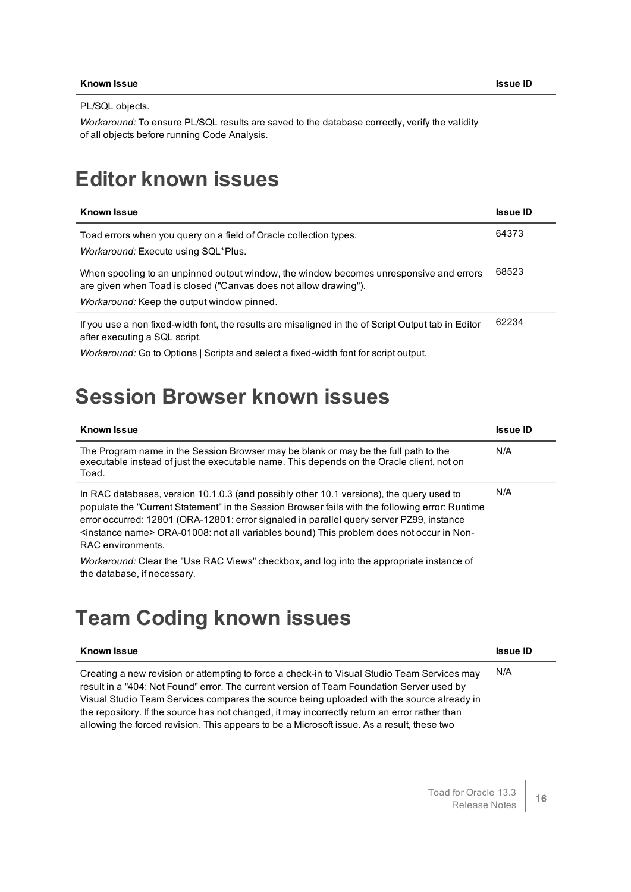PL/SQL objects.

*Workaround:* To ensure PL/SQL results are saved to the database correctly, verify the validity of all objects before running Code Analysis.

#### <span id="page-15-0"></span>**Editor known issues**

| <b>Known Issue</b>                                                                                                                                                                                                           | <b>Issue ID</b> |
|------------------------------------------------------------------------------------------------------------------------------------------------------------------------------------------------------------------------------|-----------------|
| Toad errors when you query on a field of Oracle collection types.<br><i>Workaround:</i> Execute using SQL*Plus.                                                                                                              | 64373           |
| When spooling to an unpinned output window, the window becomes unresponsive and errors<br>are given when Toad is closed ("Canvas does not allow drawing").<br><i>Workaround:</i> Keep the output window pinned.              | 68523           |
| If you use a non fixed-width font, the results are misaligned in the of Script Output tab in Editor<br>after executing a SQL script.<br>Workaround: Go to Options   Scripts and select a fixed-width font for script output. | 62234           |

#### <span id="page-15-1"></span>**Session Browser known issues**

| <b>Known Issue</b>                                                                                                                                                                                                                                                                                                                                                                                                     | <b>Issue ID</b> |
|------------------------------------------------------------------------------------------------------------------------------------------------------------------------------------------------------------------------------------------------------------------------------------------------------------------------------------------------------------------------------------------------------------------------|-----------------|
| The Program name in the Session Browser may be blank or may be the full path to the<br>executable instead of just the executable name. This depends on the Oracle client, not on<br>Toad.                                                                                                                                                                                                                              | N/A             |
| In RAC databases, version 10.1.0.3 (and possibly other 10.1 versions), the query used to<br>populate the "Current Statement" in the Session Browser fails with the following error: Runtime<br>error occurred: 12801 (ORA-12801: error signaled in parallel query server PZ99, instance<br><instance name=""> ORA-01008: not all variables bound) This problem does not occur in Non-<br/>RAC environments.</instance> | N/A             |
| <i>Workaround:</i> Clear the "Use RAC Views" checkbox, and log into the appropriate instance of<br>the database, if necessary.                                                                                                                                                                                                                                                                                         |                 |

### <span id="page-15-2"></span>**Team Coding known issues**

| <b>Known Issue</b> | <b>Issue ID</b> |
|--------------------|-----------------|
|                    |                 |

Creating a new revision or attempting to force a check-in to Visual Studio Team Services may result in a "404: Not Found" error. The current version of Team Foundation Server used by Visual Studio Team Services compares the source being uploaded with the source already in the repository. If the source has not changed, it may incorrectly return an error rather than allowing the forced revision. This appears to be a Microsoft issue. As a result, these two

N/A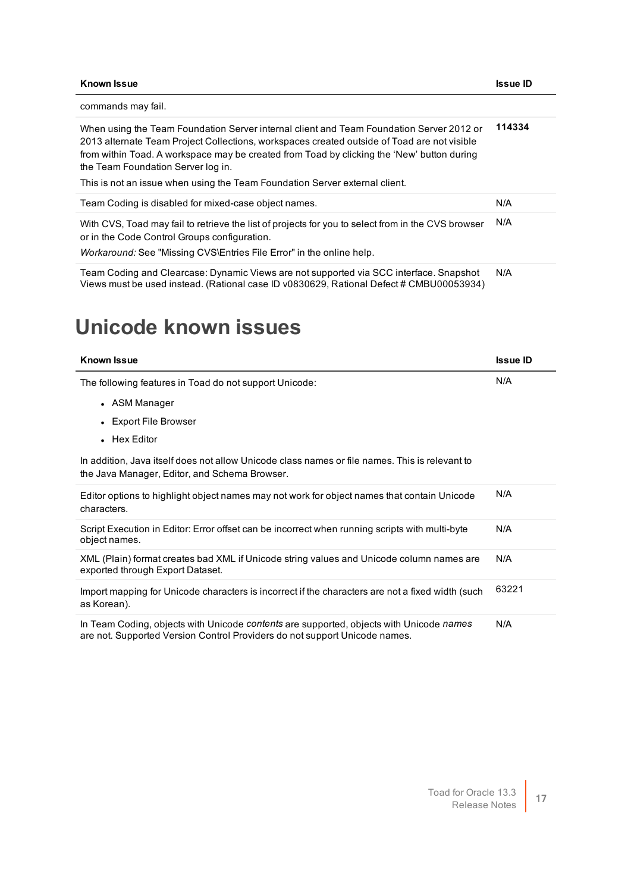| <b>Known Issue</b>                                                                                                                                                                                                                                                                                                                                                                                         | <b>Issue ID</b> |
|------------------------------------------------------------------------------------------------------------------------------------------------------------------------------------------------------------------------------------------------------------------------------------------------------------------------------------------------------------------------------------------------------------|-----------------|
| commands may fail.                                                                                                                                                                                                                                                                                                                                                                                         |                 |
| When using the Team Foundation Server internal client and Team Foundation Server 2012 or<br>2013 alternate Team Project Collections, workspaces created outside of Toad are not visible<br>from within Toad. A workspace may be created from Toad by clicking the 'New' button during<br>the Team Foundation Server log in.<br>This is not an issue when using the Team Foundation Server external client. | 114334          |
| Team Coding is disabled for mixed-case object names.                                                                                                                                                                                                                                                                                                                                                       | N/A             |
| With CVS, Toad may fail to retrieve the list of projects for you to select from in the CVS browser<br>or in the Code Control Groups configuration.                                                                                                                                                                                                                                                         | N/A             |
| Workaround: See "Missing CVS\Entries File Error" in the online help.                                                                                                                                                                                                                                                                                                                                       |                 |
| Team Coding and Clearcase: Dynamic Views are not supported via SCC interface. Snapshot<br>Views must be used instead. (Rational case ID v0830629, Rational Defect # CMBU00053934)                                                                                                                                                                                                                          | N/A             |

## <span id="page-16-0"></span>**Unicode known issues**

| <b>Known Issue</b>                                                                                                                                                    | <b>Issue ID</b> |
|-----------------------------------------------------------------------------------------------------------------------------------------------------------------------|-----------------|
| The following features in Toad do not support Unicode:                                                                                                                | N/A             |
| • ASM Manager                                                                                                                                                         |                 |
| <b>Export File Browser</b>                                                                                                                                            |                 |
| • Hex Editor                                                                                                                                                          |                 |
| In addition, Java itself does not allow Unicode class names or file names. This is relevant to<br>the Java Manager, Editor, and Schema Browser.                       |                 |
| Editor options to highlight object names may not work for object names that contain Unicode<br>characters.                                                            | N/A             |
| Script Execution in Editor: Error offset can be incorrect when running scripts with multi-byte<br>object names.                                                       | N/A             |
| XML (Plain) format creates bad XML if Unicode string values and Unicode column names are<br>exported through Export Dataset.                                          | N/A             |
| Import mapping for Unicode characters is incorrect if the characters are not a fixed width (such<br>as Korean).                                                       | 63221           |
| In Team Coding, objects with Unicode contents are supported, objects with Unicode names<br>are not. Supported Version Control Providers do not support Unicode names. | N/A             |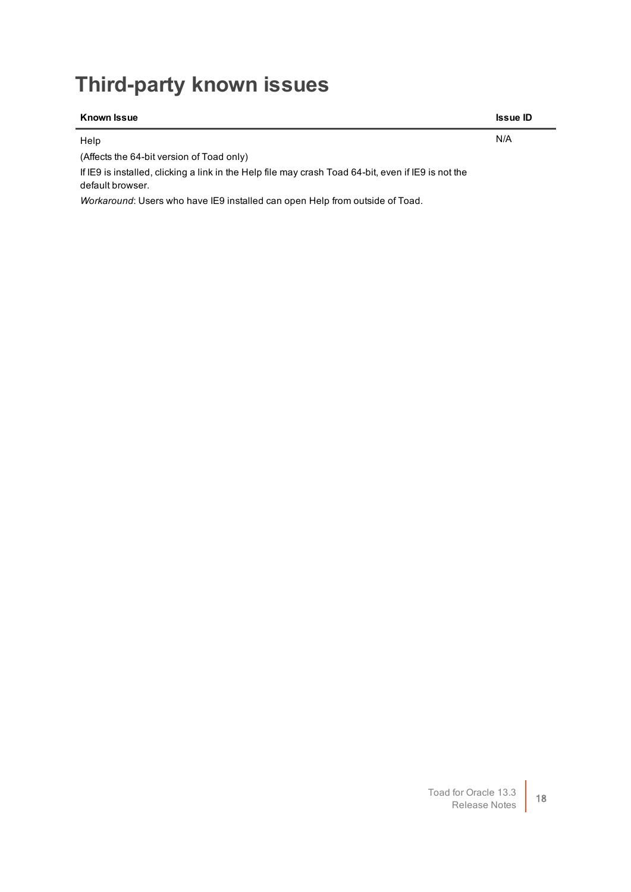## <span id="page-17-0"></span>**Third-party known issues**

| <b>Known Issue</b>                                                                                                      | <b>Issue ID</b> |
|-------------------------------------------------------------------------------------------------------------------------|-----------------|
| Help                                                                                                                    | N/A             |
| (Affects the 64-bit version of Toad only)                                                                               |                 |
| If IE9 is installed, clicking a link in the Help file may crash Toad 64-bit, even if IE9 is not the<br>default browser. |                 |
| Workaround: Users who have IE9 installed can open Help from outside of Toad.                                            |                 |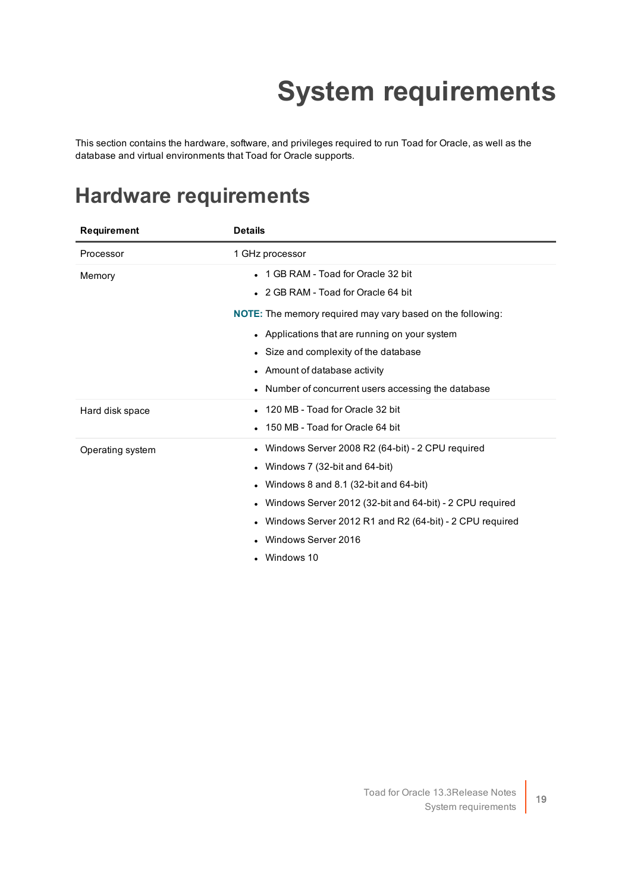# **System requirements**

<span id="page-18-0"></span>This section contains the hardware, software, and privileges required to run Toad for Oracle, as well as the database and virtual environments that Toad for Oracle supports.

#### <span id="page-18-1"></span>**Hardware requirements**

| <b>Requirement</b> | <b>Details</b>                                                    |
|--------------------|-------------------------------------------------------------------|
| Processor          | 1 GHz processor                                                   |
| Memory             | 1 GB RAM - Toad for Oracle 32 bit                                 |
|                    | • 2 GB RAM - Toad for Oracle 64 bit                               |
|                    | <b>NOTE:</b> The memory required may vary based on the following: |
|                    | • Applications that are running on your system                    |
|                    | • Size and complexity of the database                             |
|                    | • Amount of database activity                                     |
|                    | Number of concurrent users accessing the database                 |
| Hard disk space    | • 120 MB - Toad for Oracle 32 bit                                 |
|                    | 150 MB - Toad for Oracle 64 bit                                   |
| Operating system   | • Windows Server 2008 R2 (64-bit) - 2 CPU required                |
|                    | • Windows 7 (32-bit and 64-bit)                                   |
|                    | Windows 8 and 8.1 (32-bit and 64-bit)                             |
|                    | Windows Server 2012 (32-bit and 64-bit) - 2 CPU required          |
|                    | Windows Server 2012 R1 and R2 (64-bit) - 2 CPU required           |
|                    | Windows Server 2016                                               |
|                    | • Windows 10                                                      |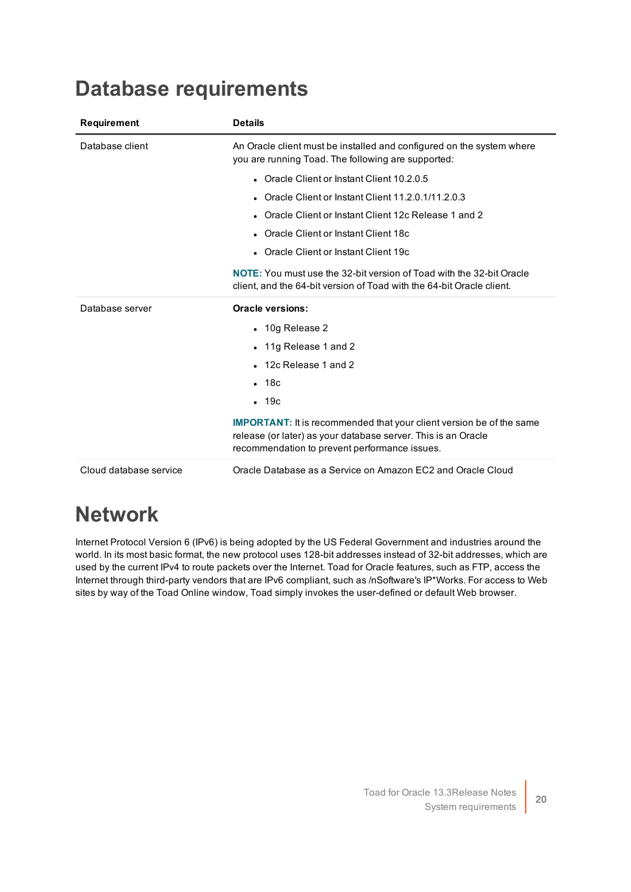<span id="page-19-0"></span>

| <b>Database requirements</b> |
|------------------------------|
|------------------------------|

| <b>Requirement</b>     | <b>Details</b>                                                                                                                                                                                |
|------------------------|-----------------------------------------------------------------------------------------------------------------------------------------------------------------------------------------------|
| Database client        | An Oracle client must be installed and configured on the system where<br>you are running Toad. The following are supported:                                                                   |
|                        | Oracle Client or Instant Client 10.2.0.5                                                                                                                                                      |
|                        | Oracle Client or Instant Client 11.2.0.1/11.2.0.3                                                                                                                                             |
|                        | • Oracle Client or Instant Client 12c Release 1 and 2                                                                                                                                         |
|                        | • Oracle Client or Instant Client 18c                                                                                                                                                         |
|                        | • Oracle Client or Instant Client 19c                                                                                                                                                         |
|                        | <b>NOTE:</b> You must use the 32-bit version of Toad with the 32-bit Oracle<br>client, and the 64-bit version of Toad with the 64-bit Oracle client.                                          |
| Database server        | <b>Oracle versions:</b>                                                                                                                                                                       |
|                        | • 10g Release 2                                                                                                                                                                               |
|                        | • 11g Release 1 and 2                                                                                                                                                                         |
|                        | 12c Release 1 and 2                                                                                                                                                                           |
|                        | $-18c$                                                                                                                                                                                        |
|                        | $-19c$                                                                                                                                                                                        |
|                        | <b>IMPORTANT:</b> It is recommended that your client version be of the same<br>release (or later) as your database server. This is an Oracle<br>recommendation to prevent performance issues. |
| Cloud database service | Oracle Database as a Service on Amazon EC2 and Oracle Cloud                                                                                                                                   |

### <span id="page-19-1"></span>**Network**

Internet Protocol Version 6 (IPv6) is being adopted by the US Federal Government and industries around the world. In its most basic format, the new protocol uses 128-bit addresses instead of 32-bit addresses, which are used by the current IPv4 to route packets over the Internet. Toad for Oracle features, such as FTP, access the Internet through third-party vendors that are IPv6 compliant, such as /nSoftware's IP\*Works. For access to Web sites by way of the Toad Online window, Toad simply invokes the user-defined or default Web browser.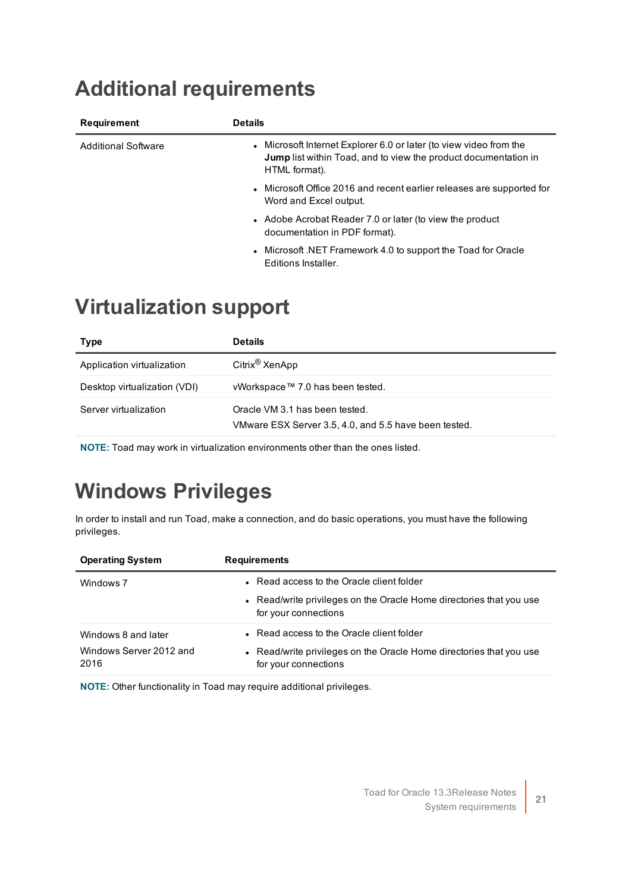## <span id="page-20-0"></span>**Additional requirements**

| Requirement                | <b>Details</b>                                                                                                                                                |
|----------------------------|---------------------------------------------------------------------------------------------------------------------------------------------------------------|
| <b>Additional Software</b> | • Microsoft Internet Explorer 6.0 or later (to view video from the<br><b>Jump</b> list within Toad, and to view the product documentation in<br>HTML format). |
|                            | • Microsoft Office 2016 and recent earlier releases are supported for<br>Word and Excel output.                                                               |
|                            | • Adobe Acrobat Reader 7.0 or later (to view the product<br>documentation in PDF format).                                                                     |
|                            | • Microsoft .NET Framework 4.0 to support the Toad for Oracle<br>Editions Installer.                                                                          |

#### <span id="page-20-1"></span>**Virtualization support**

| <b>Type</b>                  | <b>Details</b>                                                                          |
|------------------------------|-----------------------------------------------------------------------------------------|
| Application virtualization   | Citrix <sup>®</sup> XenApp                                                              |
| Desktop virtualization (VDI) | vWorkspace™ 7.0 has been tested.                                                        |
| Server virtualization        | Oracle VM 3.1 has been tested.<br>VMware ESX Server 3.5, 4.0, and 5.5 have been tested. |

<span id="page-20-2"></span>**NOTE:** Toad may work in virtualization environments other than the ones listed.

## **Windows Privileges**

In order to install and run Toad, make a connection, and do basic operations, you must have the following privileges.

| <b>Operating System</b>         | <b>Requirements</b>                                                                         |
|---------------------------------|---------------------------------------------------------------------------------------------|
| Windows 7                       | • Read access to the Oracle client folder                                                   |
|                                 | • Read/write privileges on the Oracle Home directories that you use<br>for your connections |
| Windows 8 and later             | • Read access to the Oracle client folder                                                   |
| Windows Server 2012 and<br>2016 | • Read/write privileges on the Oracle Home directories that you use<br>for your connections |

**NOTE:** Other functionality in Toad may require additional privileges.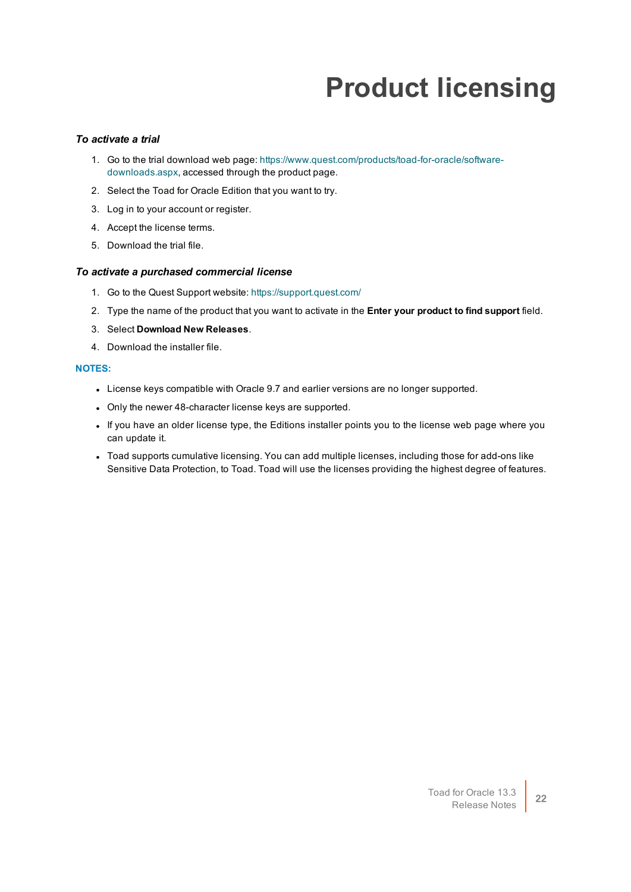# **Product licensing**

#### <span id="page-21-0"></span>*To activate a trial*

- 1. Go to the trial download web page: [https://www.quest.com/products/toad-for-oracle/software](https://www.quest.com/products/toad-for-oracle/software-downloads.aspx)[downloads.aspx](https://www.quest.com/products/toad-for-oracle/software-downloads.aspx), accessed through the product page.
- 2. Select the Toad for Oracle Edition that you want to try.
- 3. Log in to your account or register.
- 4. Accept the license terms.
- 5. Download the trial file.

#### *To activate a purchased commercial license*

- 1. Go to the Quest Support website: <https://support.quest.com/>
- 2. Type the name of the product that you want to activate in the **Enter your product to find support** field.
- 3. Select **Download New Releases**.
- 4. Download the installer file.

#### **NOTES:**

- License keys compatible with Oracle 9.7 and earlier versions are no longer supported.
- Only the newer 48-character license keys are supported.
- If you have an older license type, the Editions installer points you to the license web page where you can update it.
- Toad supports cumulative licensing. You can add multiple licenses, including those for add-ons like Sensitive Data Protection, to Toad. Toad will use the licenses providing the highest degree of features.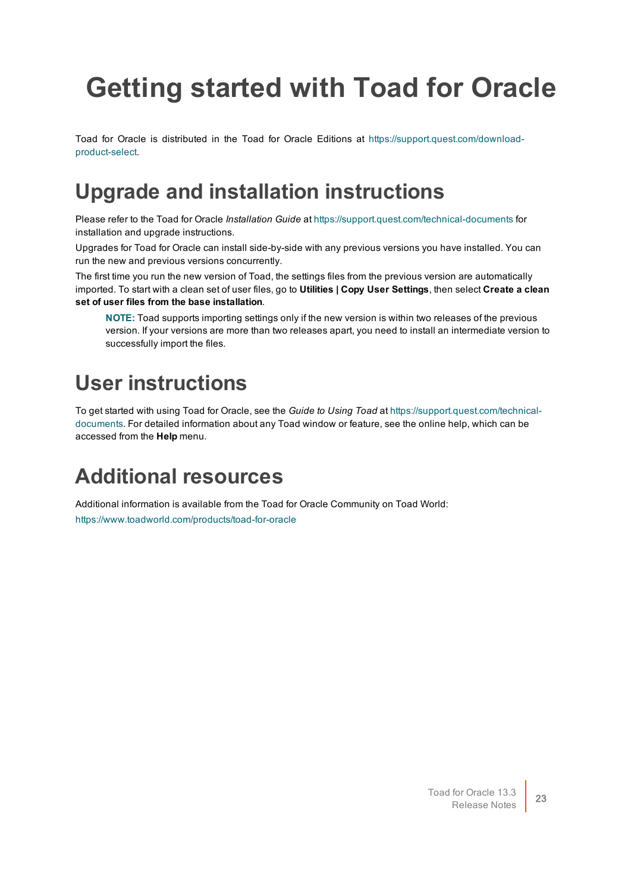# <span id="page-22-0"></span>**Getting started with Toad for Oracle**

Toad for Oracle is distributed in the Toad for Oracle Editions at [https://support.quest.com/download](https://support.quest.com/download-product-select)[product-select](https://support.quest.com/download-product-select).

#### <span id="page-22-1"></span>**Upgrade and installation instructions**

Please refer to the Toad for Oracle *Installation Guide* at <https://support.quest.com/technical-documents> for installation and upgrade instructions.

Upgrades for Toad for Oracle can install side-by-side with any previous versions you have installed. You can run the new and previous versions concurrently.

The first time you run the new version of Toad, the settings files from the previous version are automatically imported. To start with a clean set of user files, go to **Utilities | Copy User Settings**, then select **Create a clean set of user files from the base installation**.

**NOTE:** Toad supports importing settings only if the new version is within two releases of the previous version. If your versions are more than two releases apart, you need to install an intermediate version to successfully import the files.

### <span id="page-22-2"></span>**User instructions**

To get started with using Toad for Oracle, see the *Guide to Using Toad* at [https://support.quest.com/technical](https://support.quest.com/technical-documents)[documents](https://support.quest.com/technical-documents). For detailed information about any Toad window or feature, see the online help, which can be accessed from the **Help** menu.

### <span id="page-22-3"></span>**Additional resources**

Additional information is available from the Toad for Oracle Community on Toad World: <https://www.toadworld.com/products/toad-for-oracle>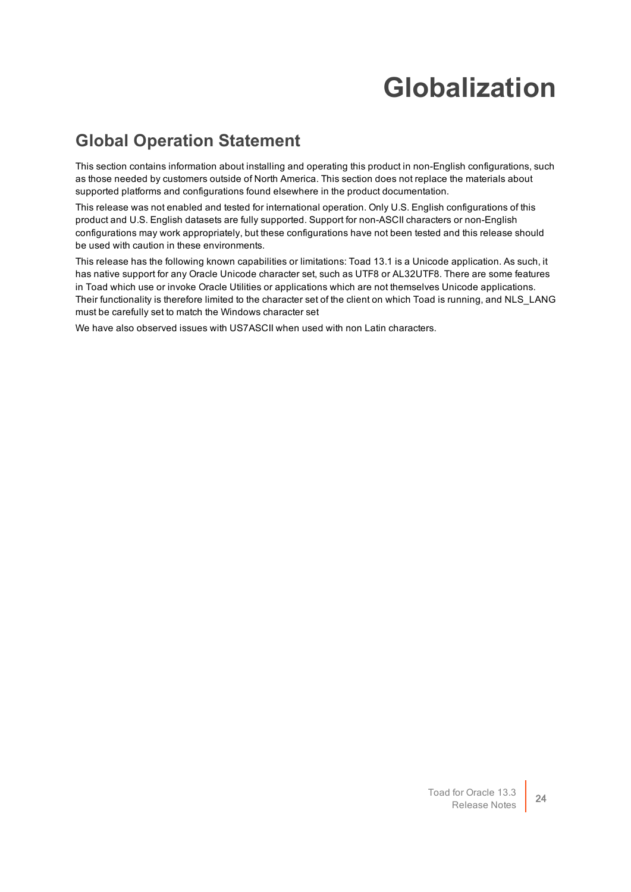## **Globalization**

#### <span id="page-23-1"></span><span id="page-23-0"></span>**Global Operation Statement**

This section contains information about installing and operating this product in non-English configurations, such as those needed by customers outside of North America. This section does not replace the materials about supported platforms and configurations found elsewhere in the product documentation.

This release was not enabled and tested for international operation. Only U.S. English configurations of this product and U.S. English datasets are fully supported. Support for non-ASCII characters or non-English configurations may work appropriately, but these configurations have not been tested and this release should be used with caution in these environments.

This release has the following known capabilities or limitations: Toad 13.1 is a Unicode application. As such, it has native support for any Oracle Unicode character set, such as UTF8 or AL32UTF8. There are some features in Toad which use or invoke Oracle Utilities or applications which are not themselves Unicode applications. Their functionality is therefore limited to the character set of the client on which Toad is running, and NLS\_LANG must be carefully set to match the Windows character set

We have also observed issues with US7ASCII when used with non Latin characters.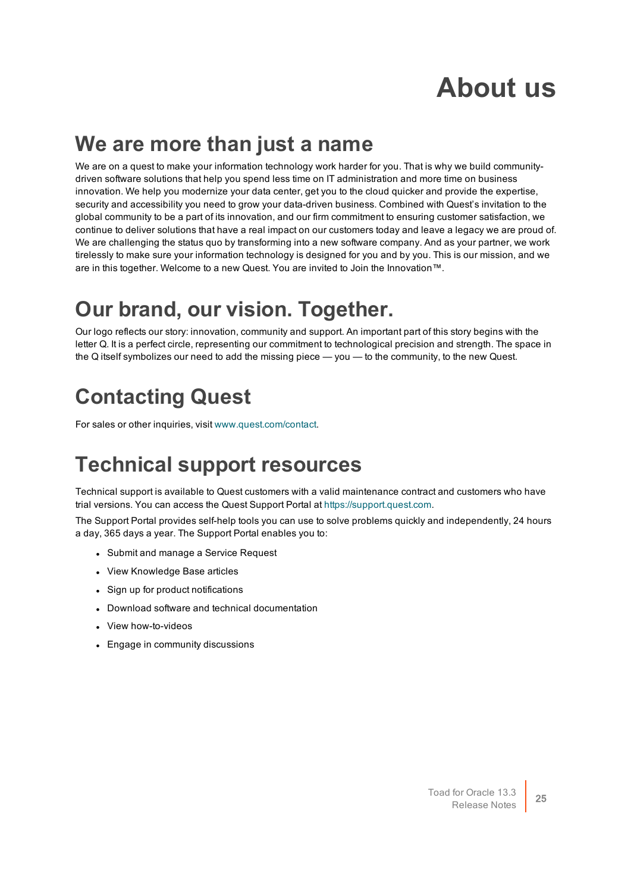## **About us**

#### <span id="page-24-0"></span>**We are more than just a name**

We are on a quest to make your information technology work harder for you. That is why we build communitydriven software solutions that help you spend less time on IT administration and more time on business innovation. We help you modernize your data center, get you to the cloud quicker and provide the expertise, security and accessibility you need to grow your data-driven business. Combined with Quest's invitation to the global community to be a part of its innovation, and our firm commitment to ensuring customer satisfaction, we continue to deliver solutions that have a real impact on our customers today and leave a legacy we are proud of. We are challenging the status quo by transforming into a new software company. And as your partner, we work tirelessly to make sure your information technology is designed for you and by you. This is our mission, and we are in this together. Welcome to a new Quest. You are invited to Join the Innovation™.

### **Our brand, our vision. Together.**

Our logo reflects our story: innovation, community and support. An important part of this story begins with the letter Q. It is a perfect circle, representing our commitment to technological precision and strength. The space in the Q itself symbolizes our need to add the missing piece — you — to the community, to the new Quest.

## <span id="page-24-1"></span>**Contacting Quest**

<span id="page-24-2"></span>For sales or other inquiries, visit [www.quest.com/contact](https://www.quest.com/contact).

### **Technical support resources**

Technical support is available to Quest customers with a valid maintenance contract and customers who have trial versions. You can access the Quest Support Portal at [https://support.quest.com](https://support.quest.com/).

The Support Portal provides self-help tools you can use to solve problems quickly and independently, 24 hours a day, 365 days a year. The Support Portal enables you to:

- Submit and manage a Service Request
- View Knowledge Base articles
- Sign up for product notifications
- Download software and technical documentation
- View how-to-videos
- Engage in community discussions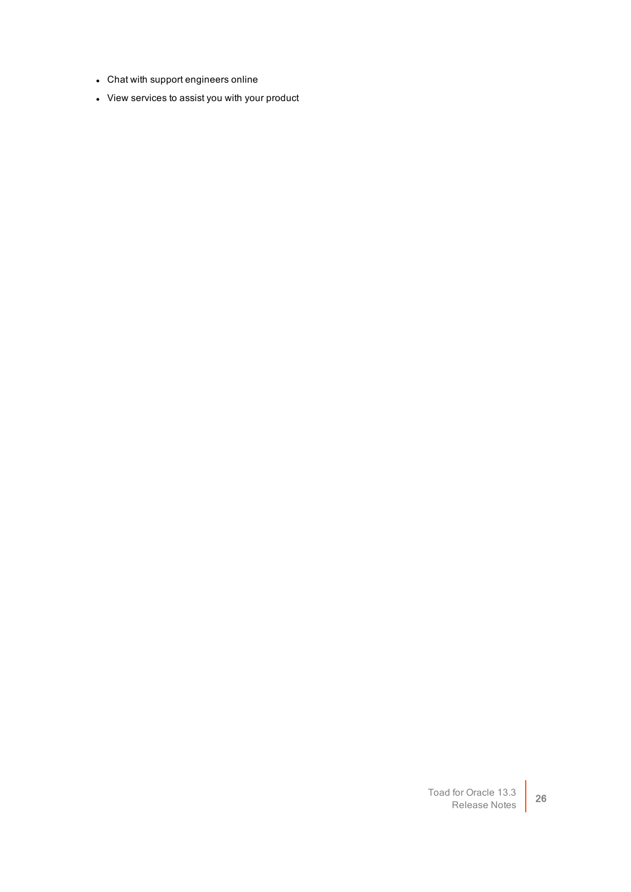- Chat with support engineers online
- View services to assist you with your product